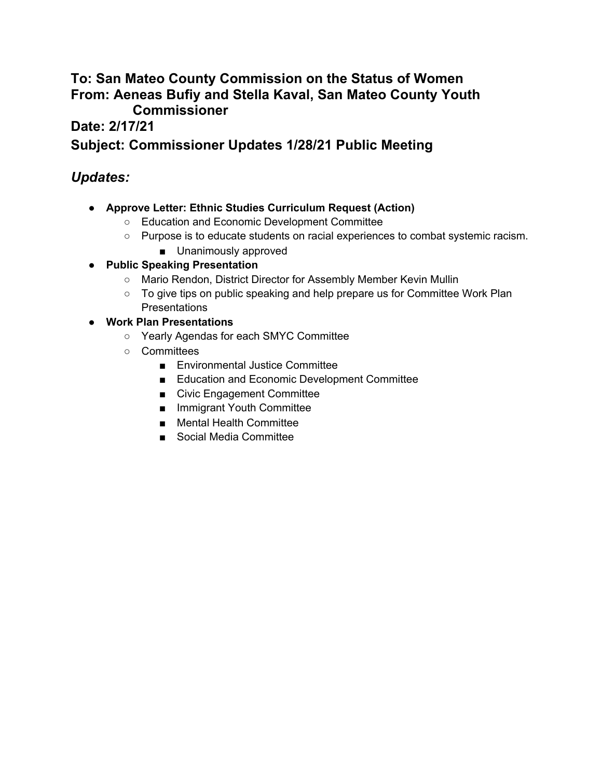#### **To: San Mateo County Commission on the Status of Women From: Aeneas Bufiy and Stella Kaval, San Mateo County Youth Commissioner**

**Date: 2/17/21**

#### **Subject: Commissioner Updates 1/28/21 Public Meeting**

#### *Updates:*

- **● Approve Letter: Ethnic Studies Curriculum Request (Action)**
	- Education and Economic Development Committee
	- Purpose is to educate students on racial experiences to combat systemic racism.
		- Unanimously approved
- **● Public Speaking Presentation**
	- Mario Rendon, District Director for Assembly Member Kevin Mullin
	- To give tips on public speaking and help prepare us for Committee Work Plan Presentations
- **● Work Plan Presentations**
	- Yearly Agendas for each SMYC Committee
	- Committees
		- Environmental Justice Committee
		- Education and Economic Development Committee
		- Civic Engagement Committee
		- Immigrant Youth Committee
		- Mental Health Committee
		- Social Media Committee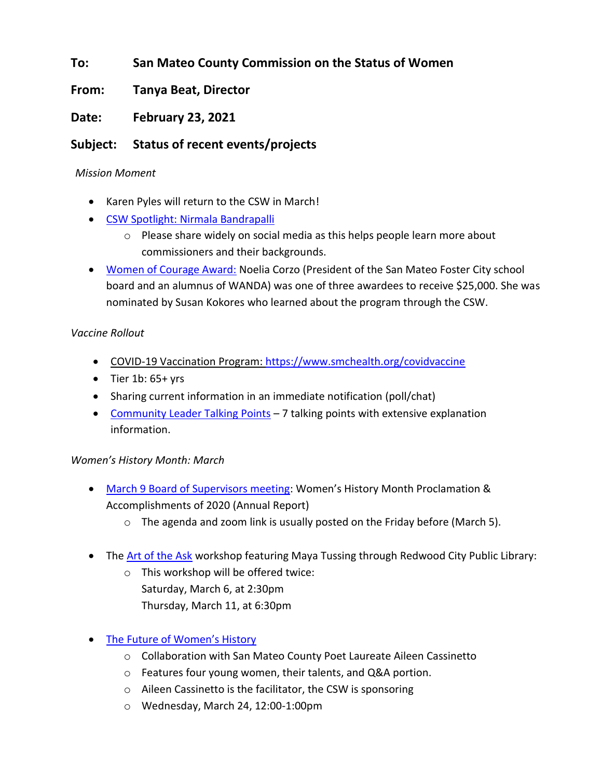#### **To: San Mateo County Commission on the Status of Women**

**From: Tanya Beat, Director**

**Date: February 23, 2021**

#### **Subject: Status of recent events/projects**

#### *Mission Moment*

- Karen Pyles will return to the CSW in March!
- [CSW Spotlight: Nirmala Bandrapalli](https://csw.smcgov.org/media/nirmala-bandrapalli-csw-spotlight)
	- o Please share widely on social media as this helps people learn more about commissioners and their backgrounds.
- [Women of Courage Award:](https://www.venturesfoundation.org/community-initiatives/women-of-courage/) Noelia Corzo (President of the San Mateo Foster City school board and an alumnus of WANDA) was one of three awardees to receive \$25,000. She was nominated by Susan Kokores who learned about the program through the CSW.

#### *Vaccine Rollout*

- COVID-19 Vaccination Program:<https://www.smchealth.org/covidvaccine>
- Tier 1b: 65+ yrs
- Sharing current information in an immediate notification (poll/chat)
- [Community Leader Talking Points](https://drive.google.com/file/d/1b3fIFXXZknBb1N8T8bqwdUX6Yv1Bdrfd/view?usp=sharing)  $-7$  talking points with extensive explanation information.

#### *Women's History Month: March*

- [March 9 Board of Supervisors meeting](https://bos.smcgov.org/): Women's History Month Proclamation & Accomplishments of 2020 (Annual Report)
	- $\circ$  The agenda and zoom link is usually posted on the Friday before (March 5).
- The [Art of the Ask](https://csw.smcgov.org/events/art-ask-workshops-womens-history-month-2021) workshop featuring Maya Tussing through Redwood City Public Library:
	- o This workshop will be offered twice: Saturday, March 6, at 2:30pm Thursday, March 11, at 6:30pm
- [The Future of Women's History](https://csw.smcgov.org/events/future-womens-history-womens-history-month-2021)
	- o Collaboration with San Mateo County Poet Laureate Aileen Cassinetto
	- o Features four young women, their talents, and Q&A portion.
	- o Aileen Cassinetto is the facilitator, the CSW is sponsoring
	- o Wednesday, March 24, 12:00-1:00pm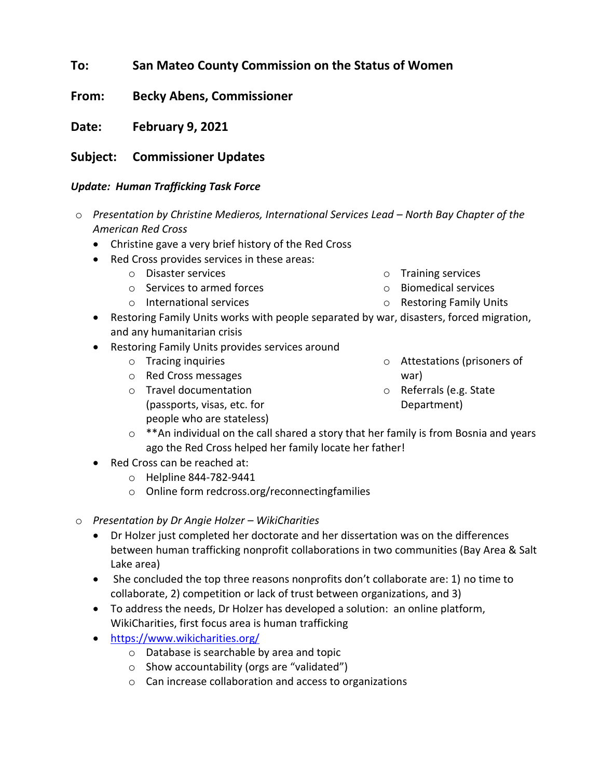#### **To: San Mateo County Commission on the Status of Women**

**From: Becky Abens, Commissioner**

**Date: February 9, 2021**

#### **Subject: Commissioner Updates**

#### *Update: Human Trafficking Task Force*

- o *Presentation by Christine Medieros, International Services Lead – North Bay Chapter of the American Red Cross*
	- Christine gave a very brief history of the Red Cross
	- Red Cross provides services in these areas:
		- o Disaster services
		- o Services to armed forces
		- o International services

o Biomedical services

o Training services

- o Restoring Family Units
- Restoring Family Units works with people separated by war, disasters, forced migration, and any humanitarian crisis
- Restoring Family Units provides services around
	- o Tracing inquiries
	- o Red Cross messages
	- o Travel documentation (passports, visas, etc. for people who are stateless)
- o Attestations (prisoners of war)
- o Referrals (e.g. State Department)
- $\circ$  \*\*An individual on the call shared a story that her family is from Bosnia and years ago the Red Cross helped her family locate her father!
- Red Cross can be reached at:
	- o Helpline 844-782-9441
	- o Online form redcross.org/reconnectingfamilies
- o *Presentation by Dr Angie Holzer – WikiCharities*
	- Dr Holzer just completed her doctorate and her dissertation was on the differences between human trafficking nonprofit collaborations in two communities (Bay Area & Salt Lake area)
	- She concluded the top three reasons nonprofits don't collaborate are: 1) no time to collaborate, 2) competition or lack of trust between organizations, and 3)
	- To address the needs, Dr Holzer has developed a solution: an online platform, WikiCharities, first focus area is human trafficking
	- <https://www.wikicharities.org/>
		- o Database is searchable by area and topic
		- o Show accountability (orgs are "validated")
		- o Can increase collaboration and access to organizations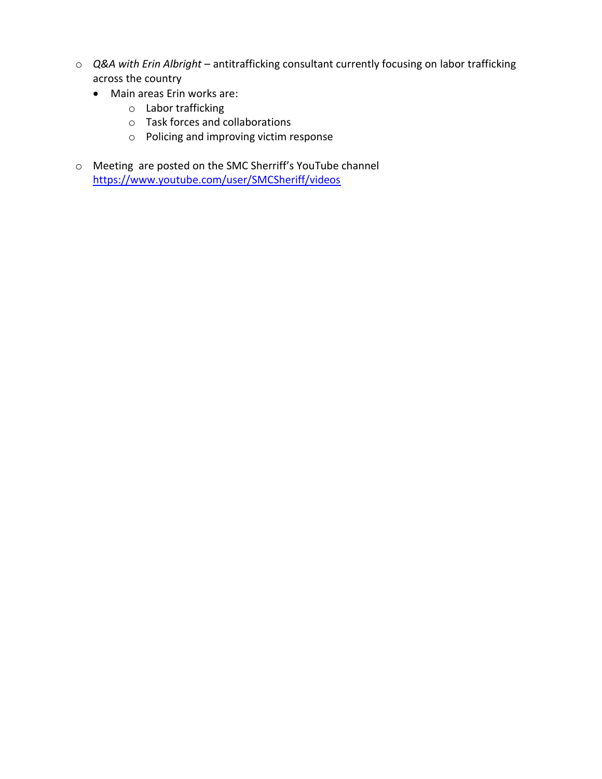- o *Q&A with Erin Albright* antitrafficking consultant currently focusing on labor trafficking across the country
	- Main areas Erin works are:
		- o Labor trafficking
		- o Task forces and collaborations
		- o Policing and improving victim response
- o Meeting are posted on the SMC Sherriff's YouTube channel <https://www.youtube.com/user/SMCSheriff/videos>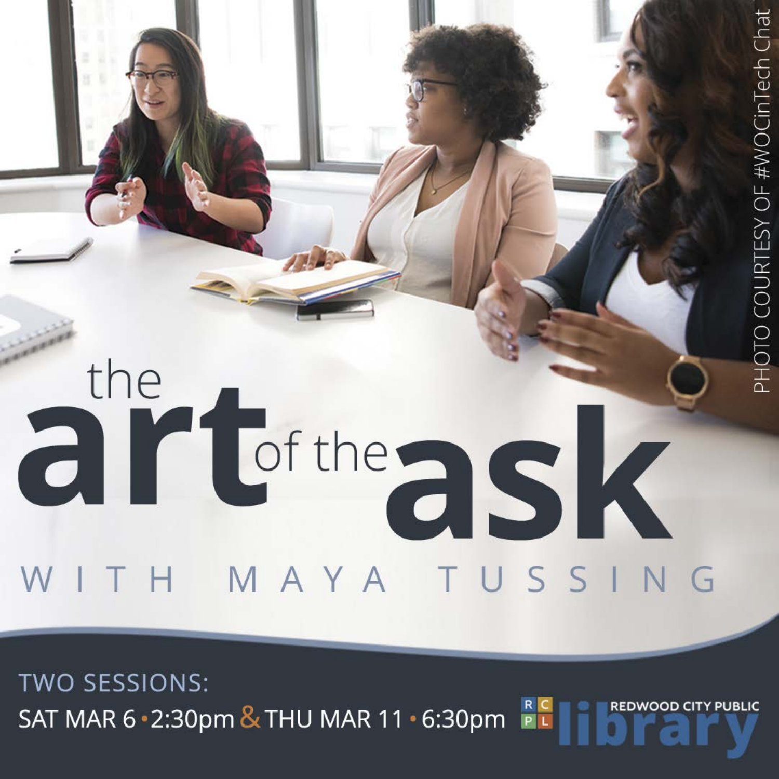### the art<sup>te</sup>ask WITH MAYA TUSSING

**TWO SESSIONS:** REDWOOD CITY PUBLIC SAT MAR 6 2:30pm & THU MAR 11 6:30pm

PHOTO COURTESY